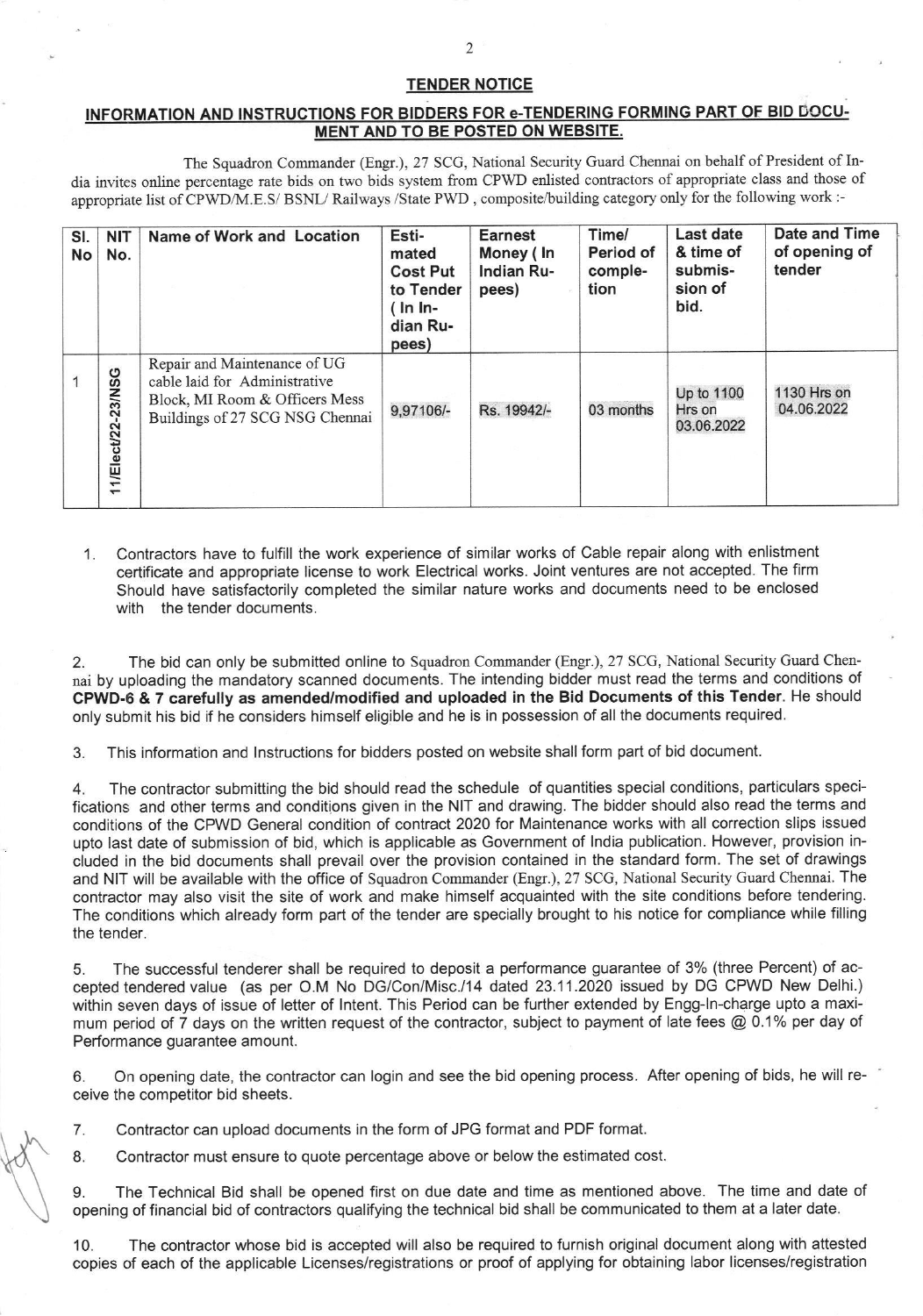## TENDER NOTICE

## INFORMATION AND INSTRUCTIONS FOR BIDDERS FOR e-TENDERING FORMING PART OF BID DOCU-MENT AND TO BE POSTED ON WEBSITE.

The Squadron Commander (Engr.), 27 SCG, National Security Guard Chennai on behalf of President of India invites online percentage rate bids on two bids system from CPWD enlisted contractors of appropriate class and those of appropriate list of CPWD/M.E.S/ BSNL/ Railways /State PWD, composite/building category only for the following work :-

| SI.<br>No | <b>NIT</b><br>No.  | Name of Work and Location                                                                                                          | Esti-<br>mated<br><b>Cost Put</b><br>to Tender<br>$($ In In-<br>dian Ru-<br>pees) | <b>Earnest</b><br>Money (In<br>Indian Ru-<br>pees) | Time/<br>Period of<br>comple-<br>tion | Last date<br>& time of<br>submis-<br>sion of<br>bid. | Date and Time<br>of opening of<br>tender |
|-----------|--------------------|------------------------------------------------------------------------------------------------------------------------------------|-----------------------------------------------------------------------------------|----------------------------------------------------|---------------------------------------|------------------------------------------------------|------------------------------------------|
|           | 11/Elect/22-23/NSG | Repair and Maintenance of UG<br>cable laid for Administrative<br>Block, MI Room & Officers Mess<br>Buildings of 27 SCG NSG Chennai | 9,97106/-                                                                         | Rs. 19942/-                                        | 03 months                             | Up to 1100<br>Hrs on<br>03.06.2022                   | 1130 Hrs on<br>04.06.2022                |

Contractors have to fulfill the work experience of similar works of Cable repair along with enlistment  $1$ certificate and appropriate license to work Electrical works. Joint ventures are not accepted. The firm Should have satisfactorily completed the similar nature works and documents need to be enclosed with the tender documents.

2. The bid can only be submitted online to Squadron Commander (Engr.), 27 SCG, National Security Cuard Chennai by uploading the mandatory scanned documents. The intending bidder must read the terms and conditions of CPWD-6 & 7 carefully as amended/modified and uploaded in the Bid Documents of this Tender. He should only submit his bid if he considers himself eligible and he is in possession of all the documents required.

3. This information and lnstructions for bidders posted on website shall form part of bid document.

4. The contractor submitting the bid should read the schedule of quantities special conditions, particulars specifications and other terms and conditions given in the NIT and drawing. The bidder should also read the terms and conditions of the CPWD General condition of contract 2020 for Maintenance works with all correction slips issued upto last date of submission of bid, which is applicable as Government of lndia publication. However. provision included in the bid documents shall prevail over the provision contained in the standard form. The set of drawings and NIT will be available with the office of Squadron Commander (Engr.), 27 SCG, National Security Guard Chennai. The contractor may also visit the site of work and make himself acquainted with the site conditions before tendering. The conditions which already form part of the tender are specially brought to his notice for compliance while filling the tender.

5. The successful tenderer shall be required to deposit a performance guarantee of 3% (three Percent) of accepted tendered value (as per O.M No DG/Con/Misc./14 daled 23.11.2020 issued by DG CPWD New Delhi.) within seven days of issue of letter of lntent. This Period can be further extended by Engg-ln-charge upto a maximum period of 7 days on the written request of the contractor, subject to payment of late fees @ 0.1% per day of Performance guarantee amount.

6. On opening date, the contractor can login and see the bid opening process. After opening of bids, he will receive the competitor bid sheets.

7. Contractor can upload documents in the form of JPG format and PDF format.

 $\mathbb{X}$ 

8. Contractor must ensure to quote percentage above or below the estimated cost.

9. The Technical Bid shall be opened first on due date and time as mentioned above. The time and date of opening of financial bid of contractors qualifying the technical bid shall be communicated to them at a later date.

10. The contractor whose bid is accepted will also be required to furnish original document along with attested copies of each of the applicable Licenses/registrations or proof of applying for obtaining Iabor licenses/registration